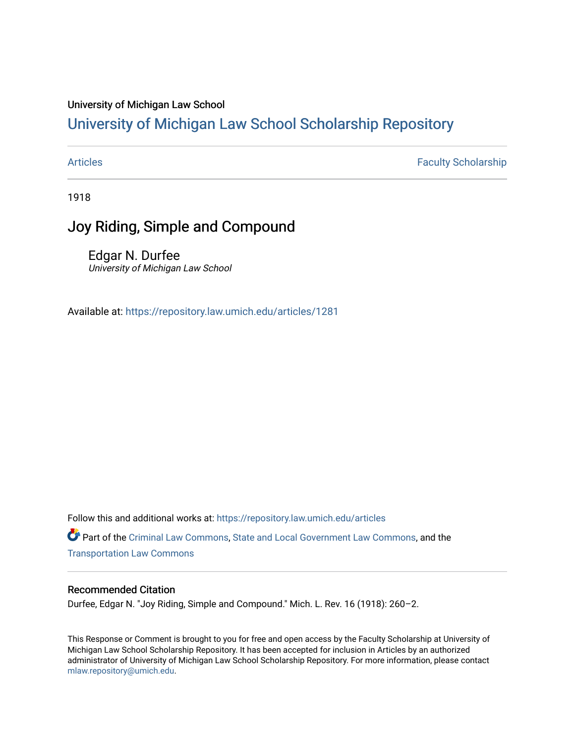### University of Michigan Law School

# [University of Michigan Law School Scholarship Repository](https://repository.law.umich.edu/)

[Articles](https://repository.law.umich.edu/articles) **Faculty Scholarship** 

1918

# Joy Riding, Simple and Compound

Edgar N. Durfee University of Michigan Law School

Available at: <https://repository.law.umich.edu/articles/1281>

Follow this and additional works at: [https://repository.law.umich.edu/articles](https://repository.law.umich.edu/articles?utm_source=repository.law.umich.edu%2Farticles%2F1281&utm_medium=PDF&utm_campaign=PDFCoverPages)  Part of the [Criminal Law Commons,](http://network.bepress.com/hgg/discipline/912?utm_source=repository.law.umich.edu%2Farticles%2F1281&utm_medium=PDF&utm_campaign=PDFCoverPages) [State and Local Government Law Commons](http://network.bepress.com/hgg/discipline/879?utm_source=repository.law.umich.edu%2Farticles%2F1281&utm_medium=PDF&utm_campaign=PDFCoverPages), and the [Transportation Law Commons](http://network.bepress.com/hgg/discipline/885?utm_source=repository.law.umich.edu%2Farticles%2F1281&utm_medium=PDF&utm_campaign=PDFCoverPages) 

### Recommended Citation

Durfee, Edgar N. "Joy Riding, Simple and Compound." Mich. L. Rev. 16 (1918): 260–2.

This Response or Comment is brought to you for free and open access by the Faculty Scholarship at University of Michigan Law School Scholarship Repository. It has been accepted for inclusion in Articles by an authorized administrator of University of Michigan Law School Scholarship Repository. For more information, please contact [mlaw.repository@umich.edu.](mailto:mlaw.repository@umich.edu)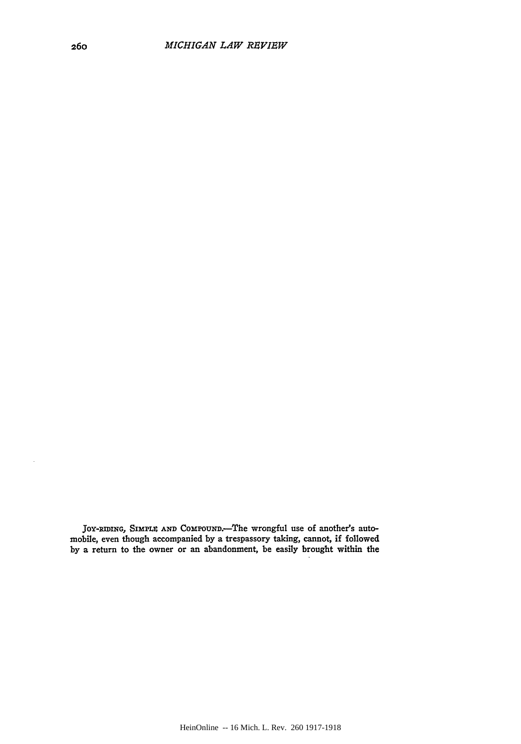JOY-RIDING, SIMPLE AND COMPOUND.-The wrongful use of another's automobile, even though accompanied **by** a trespassory taking, cannot, if followed **by** a return to the owner or an abandonment, be easily brought within the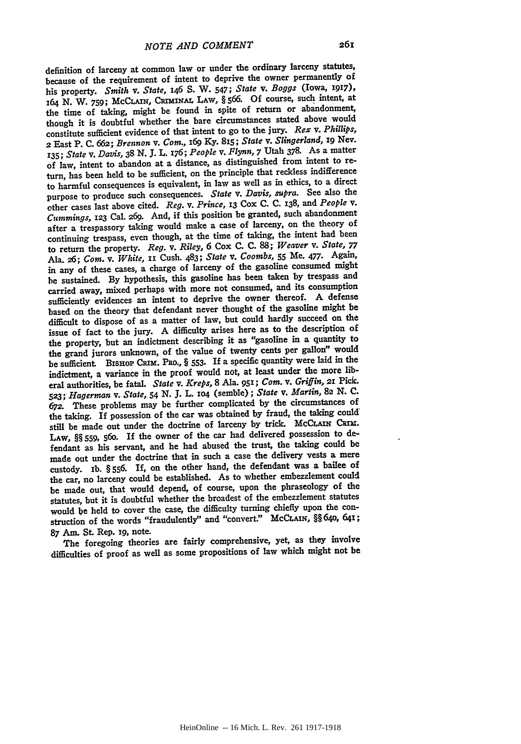definition of larceny at common law or under the ordinary larceny statutes, because of the requirement of intent to deprive the owner permanently of his property. Smith *v. State, 146* **S.** W. 547; State *v. Boggs* (Iowa, **'917),** <sup>164</sup>**N.** W. **759;** McCLAxx, **Cr !NAL LAw, §** *566.* **Of** course, such intent, at the time of taking, might be found in spite of return or abandonment, though it is doubtful whether the bare circumstances stated above would constitute sufficient evidence of that intent to go to the jury. *Rex v. Phillips,* **<sup>2</sup>**East P. **C. 662;** *Brennon v. Com.,* **i69 Ky. 8x5;** *State v. Slingerland,* **i9** Nev. **135;** *State v. Davis,* **38 N. J.** L. 176; *People v. Flynn,* **7** Utah **378.** As a matter of law, intent to abandon at a distance, as distinguished from intent to **re**turn, has been held to be sufficient, on the principle that reckless indifference to harmful consequences is equivalent, in law as well as in ethics, to a direct purpose to produce such consequences. *State v. Davis, supra.* See also the other cases last above cited. *Reg. v. Prince,* **13 Cox C. C. 138,** and *People v. Cummings,* **123** Cal. **269.** And, if this position be granted, such abandonment after a trespassory taking would make a case of larceny, on the theory of continuing trespass, even though, at the time of taking, the intent had been to return the property. *Reg. v. Riley,* **6** Cox **C. C. 88;** *Weaver v. State, <sup>77</sup>* Ala. **26;** *Com. v. White,* **ii** Cush. 483; *State v. Coombs,* **55** Me. **477.** Again, in any of these cases, a charge of larceny of the gasoline consumed might be sustained. **By** hypothesis, this gasoline has been taken **by** trespass and carried away, mixed perhaps with more not consumed, and its consumption sufficiently evidences an intent to deprive the owner thereof. **A** defense based on the theory that defendant never thought of the gasoline might be difficult to dispose of as a matter of law, but could hardly succeed on the issue of fact to the jury. **A** difficulty arises here as to the description of the property, but an indictment describing it as "gasoline in a quantity to the grand jurors unknown, of the value of twenty cents per gallon" would be sufficient. BISHOP CRIM. PRO., § 553. If a specific quantity were laid in the indictment, a variance in the proof would not, at least under the more **lib**eral authorities, be fatal. *State v.* Kreps, **8** Ala. **95e;** Com. *v.* Griffin, **2r Pick.** *523;* Hagerman *v. State,* 54 **N. J.** L. **xo4** (semble); State *v. Martin,* **82** *N. C. 672.* These problems may be further complicated **by** the circumstances of the taking. If possession of the car was obtained **by** fraud, the taking could: still be made out under the doctrine of larceny by trick. McCLAIN CRIM. **LAw, §§ 559, 56o.** If the owner of the car had delivered possession to defendant as his servant, and he had abused the trust, the taking could **be** made out under the doctrine that in such a case the delivery vests a mere custody. ib. **§ 556. If,** on the other hand, the defendant was a bailee of the car, no larceny could be established. As to whether embezzlement could be made out, that would depend, of course, upon the phraseology of the statutes, but it is doubtful whether the broadest of the embezzlement statutes would be held to cover the case, the difficulty turning chiefly upon the construction of the words "fraudulently" and "convert.' McCLAn, §§ 640, 641; **87** Am. St. Rep. ig, note.

The foregoing theories are fairly comprehensive, yet, as they involve difficulties of proof as well as some propositions of law which might not be